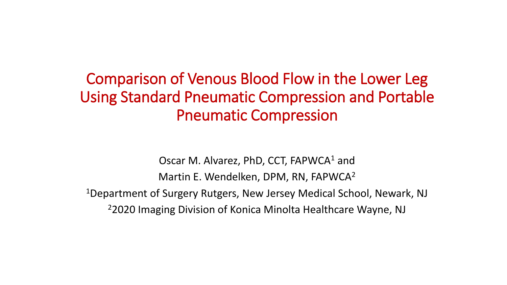#### Comparison of Venous Blood Flow in the Lower Leg Using Standard Pneumatic Compression and Portable Pneumatic Compression

Oscar M. Alvarez, PhD, CCT, FAPWCA<sup>1</sup> and Martin E. Wendelken, DPM, RN, FAPWCA<sup>2</sup> <sup>1</sup>Department of Surgery Rutgers, New Jersey Medical School, Newark, NJ <sup>2</sup>2020 Imaging Division of Konica Minolta Healthcare Wayne, NJ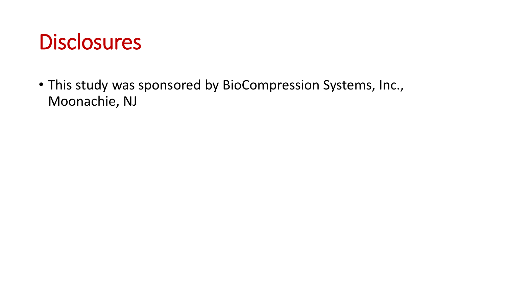

• This study was sponsored by BioCompression Systems, Inc., Moonachie, NJ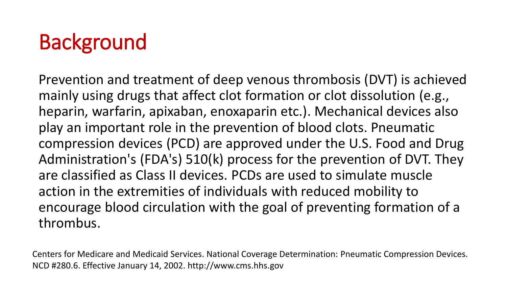# Background

Prevention and treatment of deep venous thrombosis (DVT) is achieved mainly using drugs that affect clot formation or clot dissolution (e.g., heparin, warfarin, apixaban, enoxaparin etc.). Mechanical devices also play an important role in the prevention of blood clots. Pneumatic compression devices (PCD) are approved under the U.S. Food and Drug Administration's (FDA's) 510(k) process for the prevention of DVT. They are classified as Class II devices. PCDs are used to simulate muscle action in the extremities of individuals with reduced mobility to encourage blood circulation with the goal of preventing formation of a thrombus.

Centers for Medicare and Medicaid Services. National Coverage Determination: Pneumatic Compression Devices. NCD #280.6. Effective January 14, 2002. http://www.cms.hhs.gov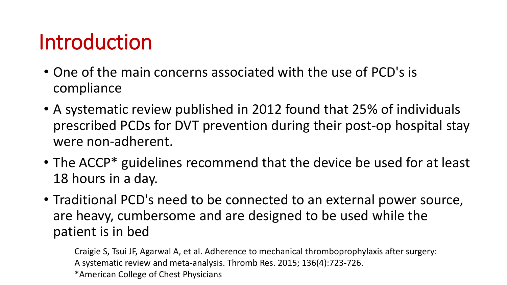### **Introduction**

- One of the main concerns associated with the use of PCD's is compliance
- A systematic review published in 2012 found that 25% of individuals prescribed PCDs for DVT prevention during their post-op hospital stay were non-adherent.
- The ACCP\* guidelines recommend that the device be used for at least 18 hours in a day.
- Traditional PCD's need to be connected to an external power source, are heavy, cumbersome and are designed to be used while the patient is in bed

Craigie S, Tsui JF, Agarwal A, et al. Adherence to mechanical thromboprophylaxis after surgery: A systematic review and meta-analysis. Thromb Res. 2015; 136(4):723-726. \*American College of Chest Physicians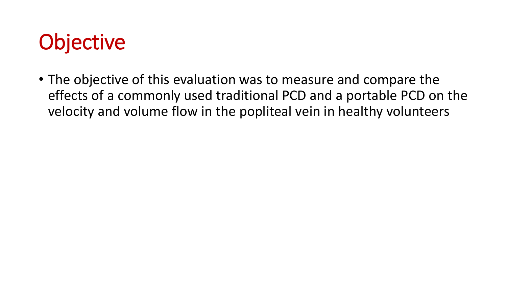# **Objective**

• The objective of this evaluation was to measure and compare the effects of a commonly used traditional PCD and a portable PCD on the velocity and volume flow in the popliteal vein in healthy volunteers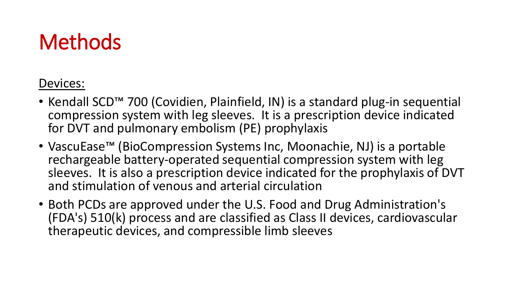## **Methods**

#### Devices:

- Kendall SCD™ 700 (Covidien, Plainfield, IN) is a standard plug-in sequential compression system with leg sleeves. It is a prescription device indicated for DVT and pulmonary embolism (PE) prophylaxis
- VascuEase™ (BioCompression Systems Inc, Moonachie, NJ) is a portable rechargeable battery-operated sequential compression system with leg sleeves. It is also a prescription device indicated for the prophylaxis of DVT and stimulation of venous and arterial circulation
- Both PCDs are approved under the U.S. Food and Drug Administration's (FDA's) 510(k) process and are classified as Class II devices, cardiovascular therapeutic devices, and compressible limb sleeves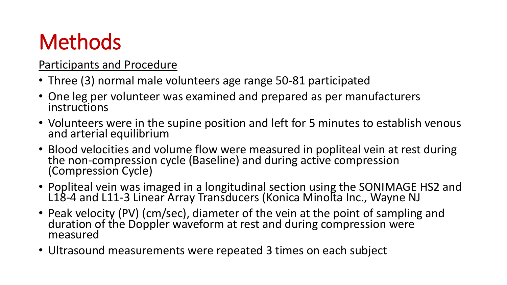## **Methods**

#### Participants and Procedure

- Three (3) normal male volunteers age range 50-81 participated
- One leg per volunteer was examined and prepared as per manufacturers instructions
- Volunteers were in the supine position and left for 5 minutes to establish venous and arterial equilibrium
- Blood velocities and volume flow were measured in popliteal vein at rest during the non-compression cycle (Baseline) and during active compression (Compression Cycle)
- Popliteal vein was imaged in a longitudinal section using the SONIMAGE HS2 and L18-4 and L11-3 Linear Array Transducers (Konica Minolta Inc., Wayne NJ
- Peak velocity (PV) (cm/sec), diameter of the vein at the point of sampling and duration of the Doppler waveform at rest and during compression were measured
- Ultrasound measurements were repeated 3 times on each subject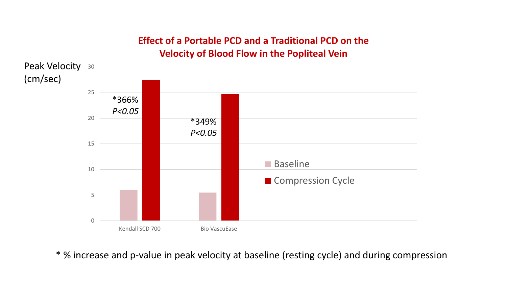#### **Effect of a Portable PCD and a Traditional PCD on the Velocity of Blood Flow in the Popliteal Vein**



\* % increase and p-value in peak velocity at baseline (resting cycle) and during compression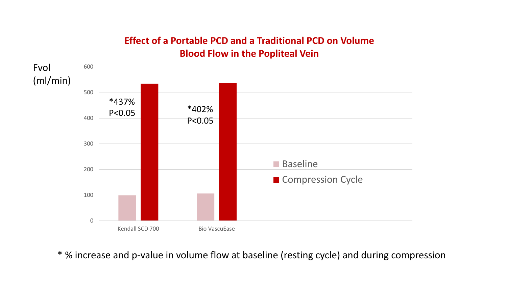#### **Effect of a Portable PCD and a Traditional PCD on Volume Blood Flow in the Popliteal Vein**



\* % increase and p-value in volume flow at baseline (resting cycle) and during compression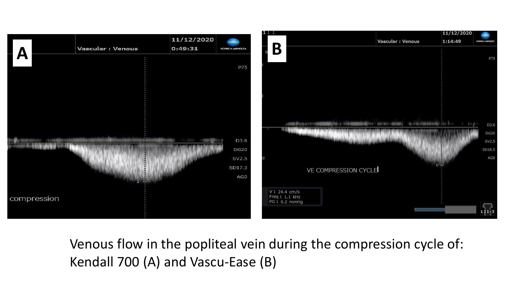

Venous flow in the popliteal vein during the compression cycle of: Kendall 700 (A) and Vascu-Ease (B)